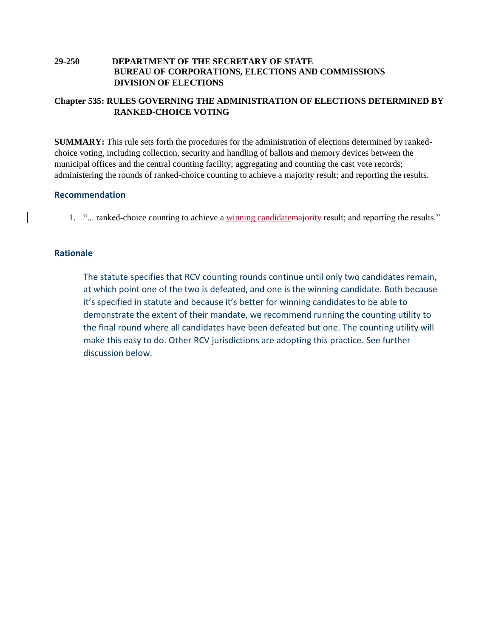# **29-250 DEPARTMENT OF THE SECRETARY OF STATE BUREAU OF CORPORATIONS, ELECTIONS AND COMMISSIONS DIVISION OF ELECTIONS**

# **Chapter 535: RULES GOVERNING THE ADMINISTRATION OF ELECTIONS DETERMINED BY RANKED-CHOICE VOTING**

**SUMMARY:** This rule sets forth the procedures for the administration of elections determined by rankedchoice voting, including collection, security and handling of ballots and memory devices between the municipal offices and the central counting facility; aggregating and counting the cast vote records; administering the rounds of ranked-choice counting to achieve a majority result; and reporting the results.

# **Recommendation**

1. "... ranked-choice counting to achieve a winning candidatemajority result; and reporting the results."

# **Rationale**

The statute specifies that RCV counting rounds continue until only two candidates remain, at which point one of the two is defeated, and one is the winning candidate. Both because it's specified in statute and because it's better for winning candidates to be able to demonstrate the extent of their mandate, we recommend running the counting utility to the final round where all candidates have been defeated but one. The counting utility will make this easy to do. Other RCV jurisdictions are adopting this practice. See further discussion below.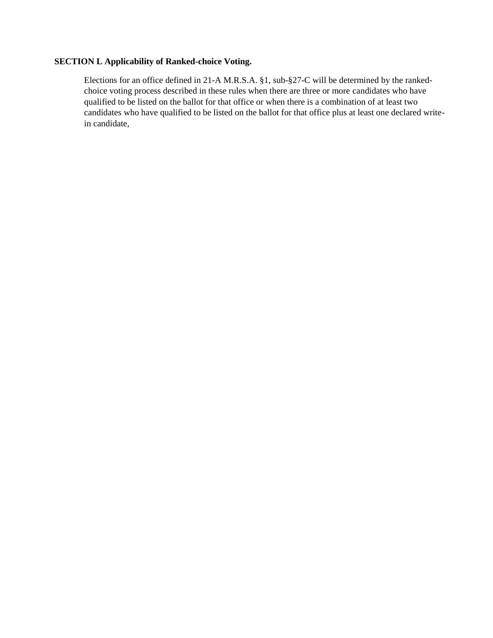### **SECTION L Applicability of Ranked-choice Voting.**

Elections for an office defined in 21-A M.R.S.A. §1, sub-§27-C will be determined by the rankedchoice voting process described in these rules when there are three or more candidates who have qualified to be listed on the ballot for that office or when there is a combination of at least two candidates who have qualified to be listed on the ballot for that office plus at least one declared writein candidate,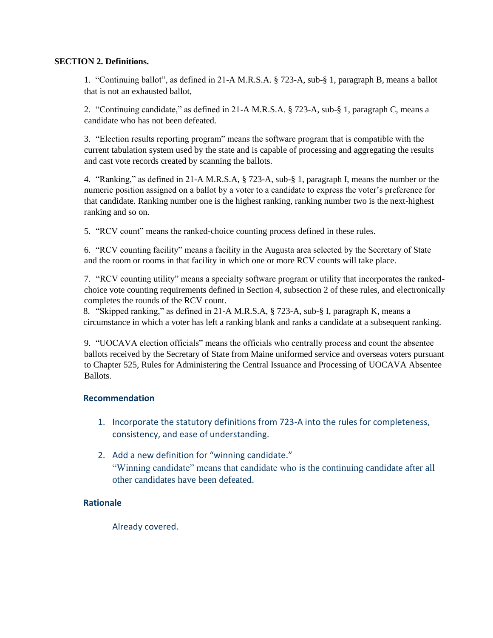## **SECTION 2. Definitions.**

1. "Continuing ballot", as defined in 21-A M.R.S.A. § 723-A, sub-§ 1, paragraph B, means a ballot that is not an exhausted ballot,

2. "Continuing candidate," as defined in 21-A M.R.S.A. § 723-A, sub-§ 1, paragraph C, means a candidate who has not been defeated.

3. "Election results reporting program" means the software program that is compatible with the current tabulation system used by the state and is capable of processing and aggregating the results and cast vote records created by scanning the ballots.

4. "Ranking," as defined in 21-A M.R.S.A, § 723-A, sub-§ 1, paragraph I, means the number or the numeric position assigned on a ballot by a voter to a candidate to express the voter's preference for that candidate. Ranking number one is the highest ranking, ranking number two is the next-highest ranking and so on.

5. "RCV count" means the ranked-choice counting process defined in these rules.

6. "RCV counting facility" means a facility in the Augusta area selected by the Secretary of State and the room or rooms in that facility in which one or more RCV counts will take place.

7. "RCV counting utility" means a specialty software program or utility that incorporates the rankedchoice vote counting requirements defined in Section 4, subsection 2 of these rules, and electronically completes the rounds of the RCV count.

8. "Skipped ranking," as defined in 21-A M.R.S.A, § 723-A, sub-§ I, paragraph K, means a circumstance in which a voter has left a ranking blank and ranks a candidate at a subsequent ranking.

9. "UOCAVA election officials" means the officials who centrally process and count the absentee ballots received by the Secretary of State from Maine uniformed service and overseas voters pursuant to Chapter 525, Rules for Administering the Central Issuance and Processing of UOCAVA Absentee Ballots.

## **Recommendation**

- 1. Incorporate the statutory definitions from 723-A into the rules for completeness, consistency, and ease of understanding.
- 2. Add a new definition for "winning candidate." "Winning candidate" means that candidate who is the continuing candidate after all other candidates have been defeated.

# **Rationale**

Already covered.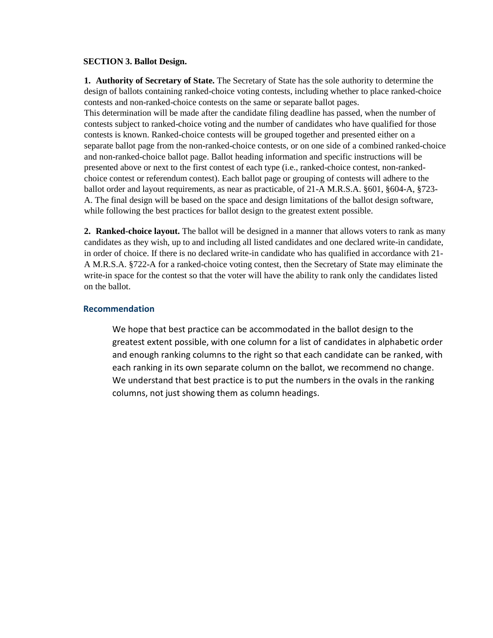#### **SECTION 3. Ballot Design.**

**1. Authority of Secretary of State.** The Secretary of State has the sole authority to determine the design of ballots containing ranked-choice voting contests, including whether to place ranked-choice contests and non-ranked-choice contests on the same or separate ballot pages.

This determination will be made after the candidate filing deadline has passed, when the number of contests subject to ranked-choice voting and the number of candidates who have qualified for those contests is known. Ranked-choice contests will be grouped together and presented either on a separate ballot page from the non-ranked-choice contests, or on one side of a combined ranked-choice and non-ranked-choice ballot page. Ballot heading information and specific instructions will be presented above or next to the first contest of each type (i.e., ranked-choice contest, non-rankedchoice contest or referendum contest). Each ballot page or grouping of contests will adhere to the ballot order and layout requirements, as near as practicable, of 21-A M.R.S.A. §601, §604-A, §723- A. The final design will be based on the space and design limitations of the ballot design software, while following the best practices for ballot design to the greatest extent possible.

**2. Ranked-choice layout.** The ballot will be designed in a manner that allows voters to rank as many candidates as they wish, up to and including all listed candidates and one declared write-in candidate, in order of choice. If there is no declared write-in candidate who has qualified in accordance with 21- A M.R.S.A. §722-A for a ranked-choice voting contest, then the Secretary of State may eliminate the write-in space for the contest so that the voter will have the ability to rank only the candidates listed on the ballot.

## **Recommendation**

We hope that best practice can be accommodated in the ballot design to the greatest extent possible, with one column for a list of candidates in alphabetic order and enough ranking columns to the right so that each candidate can be ranked, with each ranking in its own separate column on the ballot, we recommend no change. We understand that best practice is to put the numbers in the ovals in the ranking columns, not just showing them as column headings.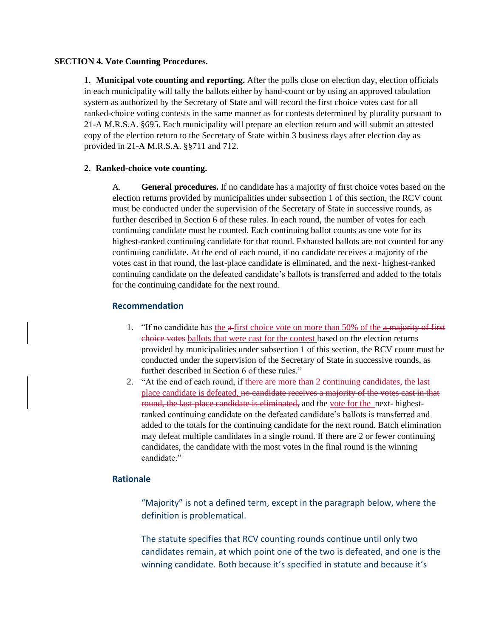## **SECTION 4. Vote Counting Procedures.**

**1. Municipal vote counting and reporting.** After the polls close on election day, election officials in each municipality will tally the ballots either by hand-count or by using an approved tabulation system as authorized by the Secretary of State and will record the first choice votes cast for all ranked-choice voting contests in the same manner as for contests determined by plurality pursuant to 21-A M.R.S.A. §695. Each municipality will prepare an election return and will submit an attested copy of the election return to the Secretary of State within 3 business days after election day as provided in 21-A M.R.S.A. §§711 and 712.

## **2. Ranked-choice vote counting.**

A. **General procedures.** If no candidate has a majority of first choice votes based on the election returns provided by municipalities under subsection 1 of this section, the RCV count must be conducted under the supervision of the Secretary of State in successive rounds, as further described in Section 6 of these rules. In each round, the number of votes for each continuing candidate must be counted. Each continuing ballot counts as one vote for its highest-ranked continuing candidate for that round. Exhausted ballots are not counted for any continuing candidate. At the end of each round, if no candidate receives a majority of the votes cast in that round, the last-place candidate is eliminated, and the next- highest-ranked continuing candidate on the defeated candidate's ballots is transferred and added to the totals for the continuing candidate for the next round.

# **Recommendation**

- 1. "If no candidate has the  $\frac{a \cdot f}{b}$  first choice vote on more than 50% of the  $\frac{a}{c}$  majority of first choice votes ballots that were cast for the contest based on the election returns provided by municipalities under subsection 1 of this section, the RCV count must be conducted under the supervision of the Secretary of State in successive rounds, as further described in Section 6 of these rules."
- 2. "At the end of each round, if there are more than 2 continuing candidates, the last place candidate is defeated, no candidate receives a majority of the votes cast in that round, the last-place candidate is eliminated, and the vote for the next- highestranked continuing candidate on the defeated candidate's ballots is transferred and added to the totals for the continuing candidate for the next round. Batch elimination may defeat multiple candidates in a single round. If there are 2 or fewer continuing candidates, the candidate with the most votes in the final round is the winning candidate."

## **Rationale**

"Majority" is not a defined term, except in the paragraph below, where the definition is problematical.

The statute specifies that RCV counting rounds continue until only two candidates remain, at which point one of the two is defeated, and one is the winning candidate. Both because it's specified in statute and because it's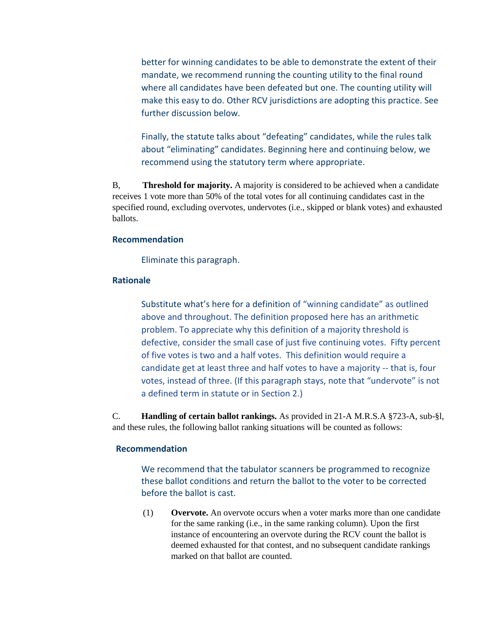better for winning candidates to be able to demonstrate the extent of their mandate, we recommend running the counting utility to the final round where all candidates have been defeated but one. The counting utility will make this easy to do. Other RCV jurisdictions are adopting this practice. See further discussion below.

Finally, the statute talks about "defeating" candidates, while the rules talk about "eliminating" candidates. Beginning here and continuing below, we recommend using the statutory term where appropriate.

B, **Threshold for majority.** A majority is considered to be achieved when a candidate receives 1 vote more than 50% of the total votes for all continuing candidates cast in the specified round, excluding overvotes, undervotes (i.e., skipped or blank votes) and exhausted ballots.

### **Recommendation**

Eliminate this paragraph.

# **Rationale**

Substitute what's here for a definition of "winning candidate" as outlined above and throughout. The definition proposed here has an arithmetic problem. To appreciate why this definition of a majority threshold is defective, consider the small case of just five continuing votes. Fifty percent of five votes is two and a half votes. This definition would require a candidate get at least three and half votes to have a majority -- that is, four votes, instead of three. (If this paragraph stays, note that "undervote" is not a defined term in statute or in Section 2.)

C. **Handling of certain ballot rankings.** As provided in 21-A M.R.S.A §723-A, sub-§l, and these rules, the following ballot ranking situations will be counted as follows:

#### **Recommendation**

We recommend that the tabulator scanners be programmed to recognize these ballot conditions and return the ballot to the voter to be corrected before the ballot is cast.

(1) **Overvote.** An overvote occurs when a voter marks more than one candidate for the same ranking (i.e., in the same ranking column). Upon the first instance of encountering an overvote during the RCV count the ballot is deemed exhausted for that contest, and no subsequent candidate rankings marked on that ballot are counted.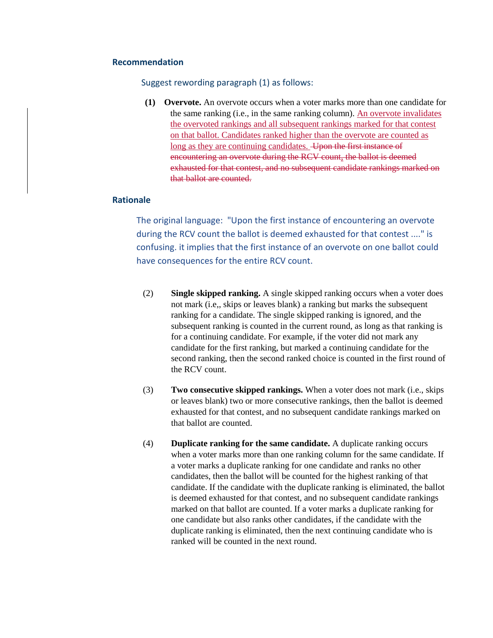#### Suggest rewording paragraph (1) as follows:

**(1) Overvote.** An overvote occurs when a voter marks more than one candidate for the same ranking (i.e., in the same ranking column). An overvote invalidates the overvoted rankings and all subsequent rankings marked for that contest on that ballot. Candidates ranked higher than the overvote are counted as long as they are continuing candidates. Upon the first instance of encountering an overvote during the RCV count, the ballot is deemed exhausted for that contest, and no subsequent candidate rankings marked on that ballot are counted.

### **Rationale**

The original language: "Upon the first instance of encountering an overvote during the RCV count the ballot is deemed exhausted for that contest ...." is confusing. it implies that the first instance of an overvote on one ballot could have consequences for the entire RCV count.

- (2) **Single skipped ranking.** A single skipped ranking occurs when a voter does not mark (i.e,, skips or leaves blank) a ranking but marks the subsequent ranking for a candidate. The single skipped ranking is ignored, and the subsequent ranking is counted in the current round, as long as that ranking is for a continuing candidate. For example, if the voter did not mark any candidate for the first ranking, but marked a continuing candidate for the second ranking, then the second ranked choice is counted in the first round of the RCV count.
- (3) **Two consecutive skipped rankings.** When a voter does not mark (i.e., skips or leaves blank) two or more consecutive rankings, then the ballot is deemed exhausted for that contest, and no subsequent candidate rankings marked on that ballot are counted.
- (4) **Duplicate ranking for the same candidate.** A duplicate ranking occurs when a voter marks more than one ranking column for the same candidate. If a voter marks a duplicate ranking for one candidate and ranks no other candidates, then the ballot will be counted for the highest ranking of that candidate. If the candidate with the duplicate ranking is eliminated, the ballot is deemed exhausted for that contest, and no subsequent candidate rankings marked on that ballot are counted. If a voter marks a duplicate ranking for one candidate but also ranks other candidates, if the candidate with the duplicate ranking is eliminated, then the next continuing candidate who is ranked will be counted in the next round.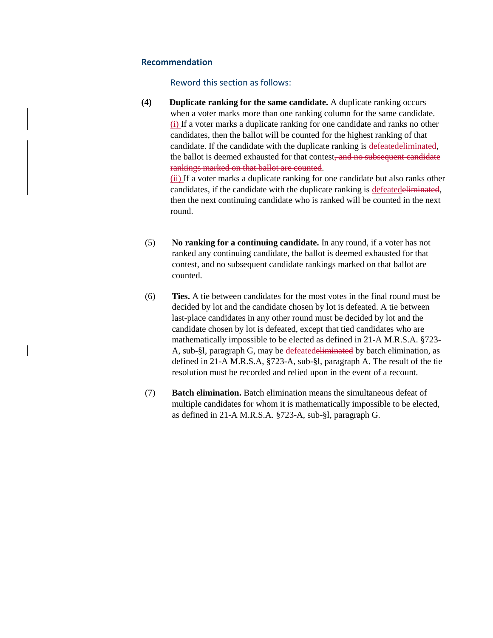#### Reword this section as follows:

**(4) Duplicate ranking for the same candidate.** A duplicate ranking occurs when a voter marks more than one ranking column for the same candidate. (i) If a voter marks a duplicate ranking for one candidate and ranks no other candidates, then the ballot will be counted for the highest ranking of that candidate. If the candidate with the duplicate ranking is defeatedeliminated, the ballot is deemed exhausted for that contest, and no subsequent candidate rankings marked on that ballot are counted. (ii) If a voter marks a duplicate ranking for one candidate but also ranks other

candidates, if the candidate with the duplicate ranking is defeatedeliminated, then the next continuing candidate who is ranked will be counted in the next round.

- (5) **No ranking for a continuing candidate.** In any round, if a voter has not ranked any continuing candidate, the ballot is deemed exhausted for that contest, and no subsequent candidate rankings marked on that ballot are counted.
- (6) **Ties.** A tie between candidates for the most votes in the final round must be decided by lot and the candidate chosen by lot is defeated. A tie between last-place candidates in any other round must be decided by lot and the candidate chosen by lot is defeated, except that tied candidates who are mathematically impossible to be elected as defined in 21-A M.R.S.A. §723- A, sub-§l, paragraph G, may be defeatedeliminated by batch elimination, as defined in 21-A M.R.S.A, §723-A, sub-§l, paragraph A. The result of the tie resolution must be recorded and relied upon in the event of a recount.
- (7) **Batch elimination.** Batch elimination means the simultaneous defeat of multiple candidates for whom it is mathematically impossible to be elected, as defined in 21-A M.R.S.A. §723-A, sub-§l, paragraph G.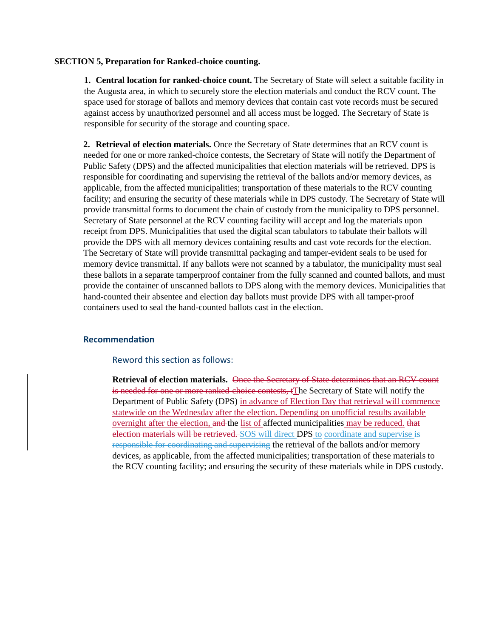#### **SECTION 5, Preparation for Ranked-choice counting.**

**1. Central location for ranked-choice count.** The Secretary of State will select a suitable facility in the Augusta area, in which to securely store the election materials and conduct the RCV count. The space used for storage of ballots and memory devices that contain cast vote records must be secured against access by unauthorized personnel and all access must be logged. The Secretary of State is responsible for security of the storage and counting space.

**2. Retrieval of election materials.** Once the Secretary of State determines that an RCV count is needed for one or more ranked-choice contests, the Secretary of State will notify the Department of Public Safety (DPS) and the affected municipalities that election materials will be retrieved. DPS is responsible for coordinating and supervising the retrieval of the ballots and/or memory devices, as applicable, from the affected municipalities; transportation of these materials to the RCV counting facility; and ensuring the security of these materials while in DPS custody. The Secretary of State will provide transmittal forms to document the chain of custody from the municipality to DPS personnel. Secretary of State personnel at the RCV counting facility will accept and log the materials upon receipt from DPS. Municipalities that used the digital scan tabulators to tabulate their ballots will provide the DPS with all memory devices containing results and cast vote records for the election. The Secretary of State will provide transmittal packaging and tamper-evident seals to be used for memory device transmittal. If any ballots were not scanned by a tabulator, the municipality must seal these ballots in a separate tamperproof container from the fully scanned and counted ballots, and must provide the container of unscanned ballots to DPS along with the memory devices. Municipalities that hand-counted their absentee and election day ballots must provide DPS with all tamper-proof containers used to seal the hand-counted ballots cast in the election.

## **Recommendation**

#### Reword this section as follows:

**Retrieval of election materials.** Once the Secretary of State determines that an RCV count is needed for one or more ranked-choice contests, tThe Secretary of State will notify the Department of Public Safety (DPS) in advance of Election Day that retrieval will commence statewide on the Wednesday after the election. Depending on unofficial results available overnight after the election, and the list of affected municipalities may be reduced. that election materials will be retrieved. SOS will direct DPS to coordinate and supervise is responsible for coordinating and supervising the retrieval of the ballots and/or memory devices, as applicable, from the affected municipalities; transportation of these materials to the RCV counting facility; and ensuring the security of these materials while in DPS custody.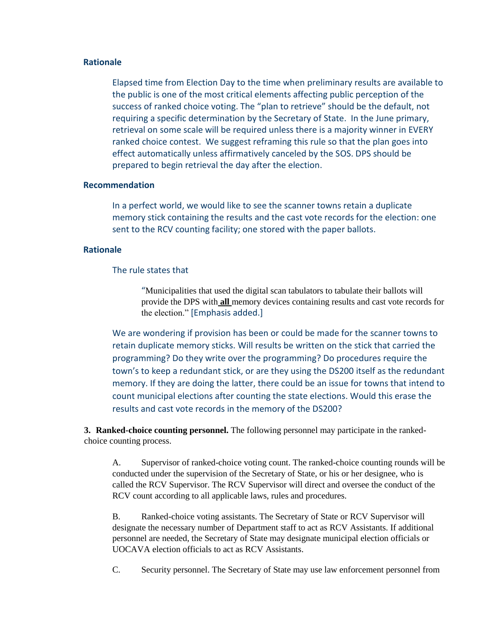## **Rationale**

Elapsed time from Election Day to the time when preliminary results are available to the public is one of the most critical elements affecting public perception of the success of ranked choice voting. The "plan to retrieve" should be the default, not requiring a specific determination by the Secretary of State. In the June primary, retrieval on some scale will be required unless there is a majority winner in EVERY ranked choice contest. We suggest reframing this rule so that the plan goes into effect automatically unless affirmatively canceled by the SOS. DPS should be prepared to begin retrieval the day after the election.

### **Recommendation**

In a perfect world, we would like to see the scanner towns retain a duplicate memory stick containing the results and the cast vote records for the election: one sent to the RCV counting facility; one stored with the paper ballots.

#### **Rationale**

## The rule states that

"Municipalities that used the digital scan tabulators to tabulate their ballots will provide the DPS with **all** memory devices containing results and cast vote records for the election." [Emphasis added.]

We are wondering if provision has been or could be made for the scanner towns to retain duplicate memory sticks. Will results be written on the stick that carried the programming? Do they write over the programming? Do procedures require the town's to keep a redundant stick, or are they using the DS200 itself as the redundant memory. If they are doing the latter, there could be an issue for towns that intend to count municipal elections after counting the state elections. Would this erase the results and cast vote records in the memory of the DS200?

**3. Ranked-choice counting personnel.** The following personnel may participate in the rankedchoice counting process.

A. Supervisor of ranked-choice voting count. The ranked-choice counting rounds will be conducted under the supervision of the Secretary of State, or his or her designee, who is called the RCV Supervisor. The RCV Supervisor will direct and oversee the conduct of the RCV count according to all applicable laws, rules and procedures.

B. Ranked-choice voting assistants. The Secretary of State or RCV Supervisor will designate the necessary number of Department staff to act as RCV Assistants. If additional personnel are needed, the Secretary of State may designate municipal election officials or UOCAVA election officials to act as RCV Assistants.

C. Security personnel. The Secretary of State may use law enforcement personnel from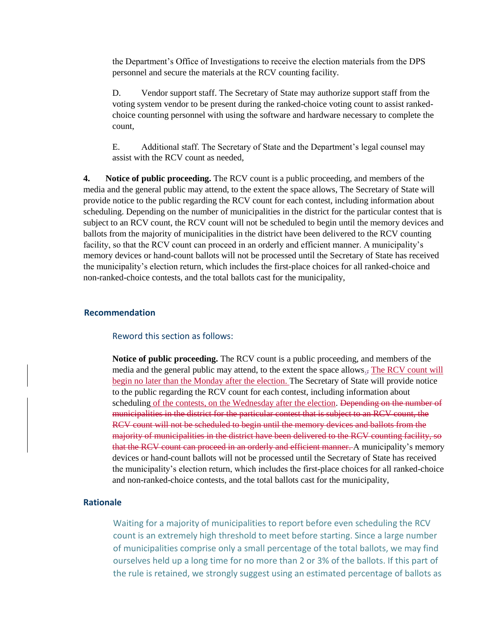the Department's Office of Investigations to receive the election materials from the DPS personnel and secure the materials at the RCV counting facility.

D. Vendor support staff. The Secretary of State may authorize support staff from the voting system vendor to be present during the ranked-choice voting count to assist rankedchoice counting personnel with using the software and hardware necessary to complete the count,

E. Additional staff. The Secretary of State and the Department's legal counsel may assist with the RCV count as needed,

**4. Notice of public proceeding.** The RCV count is a public proceeding, and members of the media and the general public may attend, to the extent the space allows, The Secretary of State will provide notice to the public regarding the RCV count for each contest, including information about scheduling. Depending on the number of municipalities in the district for the particular contest that is subject to an RCV count, the RCV count will not be scheduled to begin until the memory devices and ballots from the majority of municipalities in the district have been delivered to the RCV counting facility, so that the RCV count can proceed in an orderly and efficient manner. A municipality's memory devices or hand-count ballots will not be processed until the Secretary of State has received the municipality's election return, which includes the first-place choices for all ranked-choice and non-ranked-choice contests, and the total ballots cast for the municipality,

#### **Recommendation**

#### Reword this section as follows:

**Notice of public proceeding.** The RCV count is a public proceeding, and members of the media and the general public may attend, to the extent the space allows. $\frac{1}{2}$  The RCV count will begin no later than the Monday after the election. The Secretary of State will provide notice to the public regarding the RCV count for each contest, including information about scheduling of the contests, on the Wednesday after the election. Depending on the number of municipalities in the district for the particular contest that is subject to an RCV count, the RCV count will not be scheduled to begin until the memory devices and ballots from the majority of municipalities in the district have been delivered to the RCV counting facility, so that the RCV count can proceed in an orderly and efficient manner. A municipality's memory devices or hand-count ballots will not be processed until the Secretary of State has received the municipality's election return, which includes the first-place choices for all ranked-choice and non-ranked-choice contests, and the total ballots cast for the municipality,

## **Rationale**

Waiting for a majority of municipalities to report before even scheduling the RCV count is an extremely high threshold to meet before starting. Since a large number of municipalities comprise only a small percentage of the total ballots, we may find ourselves held up a long time for no more than 2 or 3% of the ballots. If this part of the rule is retained, we strongly suggest using an estimated percentage of ballots as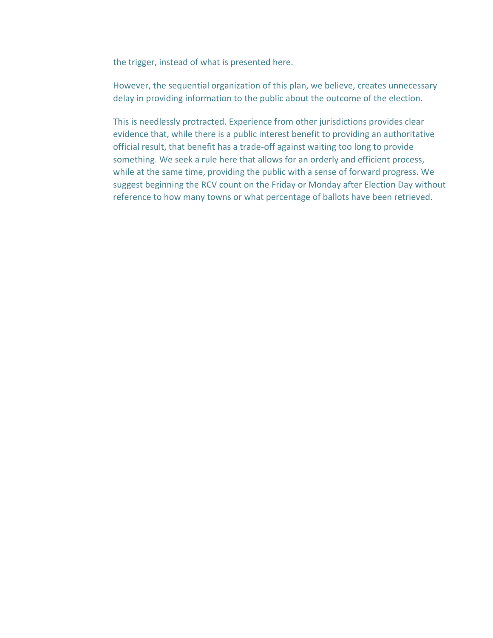the trigger, instead of what is presented here.

However, the sequential organization of this plan, we believe, creates unnecessary delay in providing information to the public about the outcome of the election.

This is needlessly protracted. Experience from other jurisdictions provides clear evidence that, while there is a public interest benefit to providing an authoritative official result, that benefit has a trade-off against waiting too long to provide something. We seek a rule here that allows for an orderly and efficient process, while at the same time, providing the public with a sense of forward progress. We suggest beginning the RCV count on the Friday or Monday after Election Day without reference to how many towns or what percentage of ballots have been retrieved.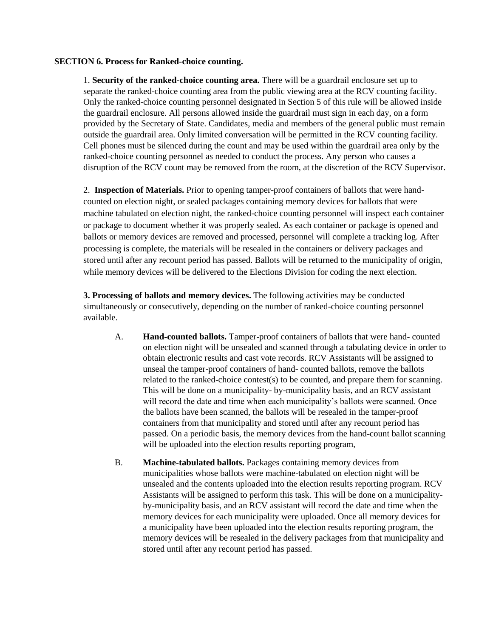#### **SECTION 6. Process for Ranked-choice counting.**

1. **Security of the ranked-choice counting area.** There will be a guardrail enclosure set up to separate the ranked-choice counting area from the public viewing area at the RCV counting facility. Only the ranked-choice counting personnel designated in Section 5 of this rule will be allowed inside the guardrail enclosure. All persons allowed inside the guardrail must sign in each day, on a form provided by the Secretary of State. Candidates, media and members of the general public must remain outside the guardrail area. Only limited conversation will be permitted in the RCV counting facility. Cell phones must be silenced during the count and may be used within the guardrail area only by the ranked-choice counting personnel as needed to conduct the process. Any person who causes a disruption of the RCV count may be removed from the room, at the discretion of the RCV Supervisor.

2. **Inspection of Materials.** Prior to opening tamper-proof containers of ballots that were handcounted on election night, or sealed packages containing memory devices for ballots that were machine tabulated on election night, the ranked-choice counting personnel will inspect each container or package to document whether it was properly sealed. As each container or package is opened and ballots or memory devices are removed and processed, personnel will complete a tracking log. After processing is complete, the materials will be resealed in the containers or delivery packages and stored until after any recount period has passed. Ballots will be returned to the municipality of origin, while memory devices will be delivered to the Elections Division for coding the next election.

**3. Processing of ballots and memory devices.** The following activities may be conducted simultaneously or consecutively, depending on the number of ranked-choice counting personnel available.

- A. **Hand-counted ballots.** Tamper-proof containers of ballots that were hand- counted on election night will be unsealed and scanned through a tabulating device in order to obtain electronic results and cast vote records. RCV Assistants will be assigned to unseal the tamper-proof containers of hand- counted ballots, remove the ballots related to the ranked-choice contest(s) to be counted, and prepare them for scanning. This will be done on a municipality- by-municipality basis, and an RCV assistant will record the date and time when each municipality's ballots were scanned. Once the ballots have been scanned, the ballots will be resealed in the tamper-proof containers from that municipality and stored until after any recount period has passed. On a periodic basis, the memory devices from the hand-count ballot scanning will be uploaded into the election results reporting program,
- B. **Machine-tabulated ballots.** Packages containing memory devices from municipalities whose ballots were machine-tabulated on election night will be unsealed and the contents uploaded into the election results reporting program. RCV Assistants will be assigned to perform this task. This will be done on a municipalityby-municipality basis, and an RCV assistant will record the date and time when the memory devices for each municipality were uploaded. Once all memory devices for a municipality have been uploaded into the election results reporting program, the memory devices will be resealed in the delivery packages from that municipality and stored until after any recount period has passed.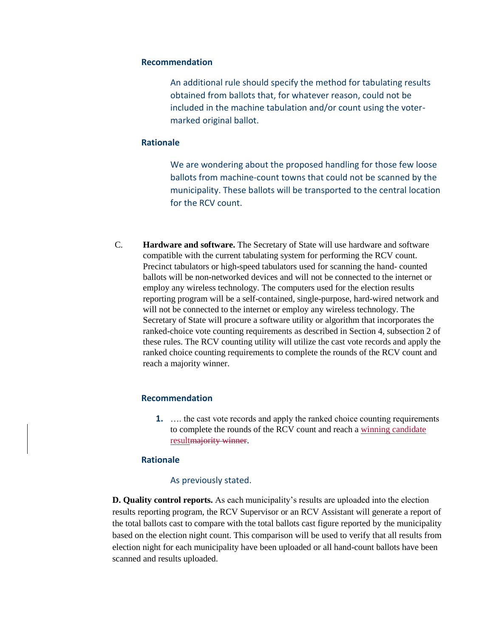An additional rule should specify the method for tabulating results obtained from ballots that, for whatever reason, could not be included in the machine tabulation and/or count using the votermarked original ballot.

#### **Rationale**

We are wondering about the proposed handling for those few loose ballots from machine-count towns that could not be scanned by the municipality. These ballots will be transported to the central location for the RCV count.

C. **Hardware and software.** The Secretary of State will use hardware and software compatible with the current tabulating system for performing the RCV count. Precinct tabulators or high-speed tabulators used for scanning the hand- counted ballots will be non-networked devices and will not be connected to the internet or employ any wireless technology. The computers used for the election results reporting program will be a self-contained, single-purpose, hard-wired network and will not be connected to the internet or employ any wireless technology. The Secretary of State will procure a software utility or algorithm that incorporates the ranked-choice vote counting requirements as described in Section 4, subsection 2 of these rules. The RCV counting utility will utilize the cast vote records and apply the ranked choice counting requirements to complete the rounds of the RCV count and reach a majority winner.

## **Recommendation**

**1.** …. the cast vote records and apply the ranked choice counting requirements to complete the rounds of the RCV count and reach a winning candidate resultmajority winner.

#### **Rationale**

#### As previously stated.

**D. Quality control reports.** As each municipality's results are uploaded into the election results reporting program, the RCV Supervisor or an RCV Assistant will generate a report of the total ballots cast to compare with the total ballots cast figure reported by the municipality based on the election night count. This comparison will be used to verify that all results from election night for each municipality have been uploaded or all hand-count ballots have been scanned and results uploaded.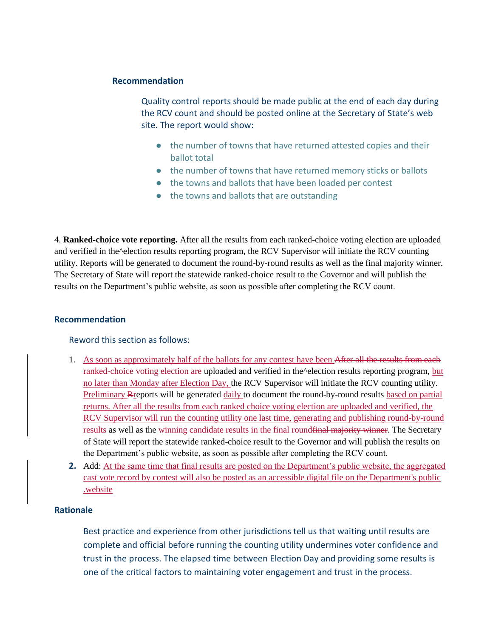Quality control reports should be made public at the end of each day during the RCV count and should be posted online at the Secretary of State's web site. The report would show:

- the number of towns that have returned attested copies and their ballot total
- the number of towns that have returned memory sticks or ballots
- the towns and ballots that have been loaded per contest
- the towns and ballots that are outstanding

4. **Ranked-choice vote reporting.** After all the results from each ranked-choice voting election are uploaded and verified in the^election results reporting program, the RCV Supervisor will initiate the RCV counting utility. Reports will be generated to document the round-by-round results as well as the final majority winner. The Secretary of State will report the statewide ranked-choice result to the Governor and will publish the results on the Department's public website, as soon as possible after completing the RCV count.

## **Recommendation**

## Reword this section as follows:

- 1. As soon as approximately half of the ballots for any contest have been After all the results from each ranked-choice voting election are uploaded and verified in the relection results reporting program, but no later than Monday after Election Day, the RCV Supervisor will initiate the RCV counting utility. Preliminary Rreports will be generated daily to document the round-by-round results based on partial returns. After all the results from each ranked choice voting election are uploaded and verified, the RCV Supervisor will run the counting utility one last time, generating and publishing round-by-round results as well as the winning candidate results in the final round final majority winner. The Secretary of State will report the statewide ranked-choice result to the Governor and will publish the results on the Department's public website, as soon as possible after completing the RCV count.
- **2.** Add: At the same time that final results are posted on the Department's public website, the aggregated cast vote record by contest will also be posted as an accessible digital file on the Department's public .website

# **Rationale**

Best practice and experience from other jurisdictions tell us that waiting until results are complete and official before running the counting utility undermines voter confidence and trust in the process. The elapsed time between Election Day and providing some results is one of the critical factors to maintaining voter engagement and trust in the process.